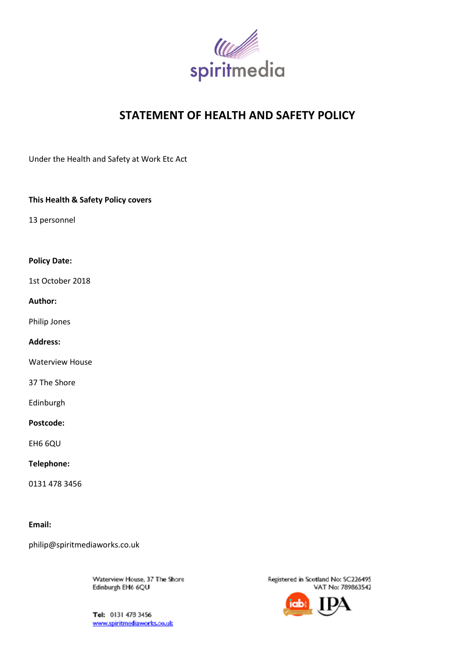

# **STATEMENT OF HEALTH AND SAFETY POLICY**

Under the Health and Safety at Work Etc Act

### **This Health & Safety Policy covers**

13 personnel

### **Policy Date:**

1st October 2018

### **Author:**

Philip Jones

### **Address:**

Waterview House

37 The Shore

Edinburgh

### **Postcode:**

EH6 6QU

#### **Telephone:**

0131 478 3456

#### **Email:**

philip@spiritmediaworks.co.uk

Waterview House, 37 The Shore Edinburgh EH6 6QU

Tel: 0131 478 3456 www.spiritmediaworks.co.uk

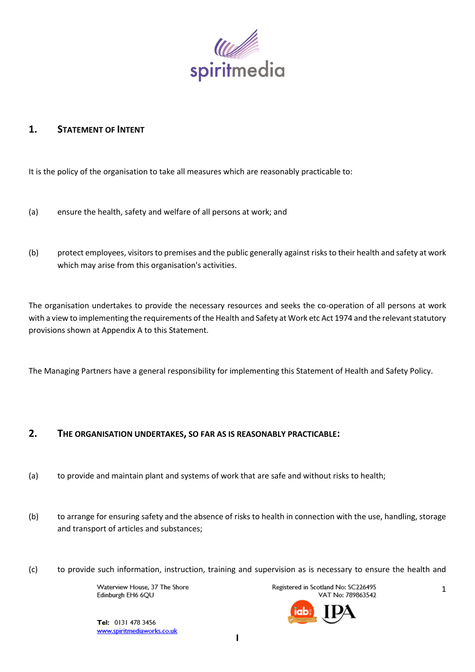

# **1. STATEMENT OF INTENT**

It is the policy of the organisation to take all measures which are reasonably practicable to:

- (a) ensure the health, safety and welfare of all persons at work; and
- (b) protect employees, visitors to premises and the public generally against risks to their health and safety at work which may arise from this organisation's activities.

The organisation undertakes to provide the necessary resources and seeks the co-operation of all persons at work with a view to implementing the requirements of the Health and Safety at Work etc Act 1974 and the relevant statutory provisions shown at Appendix A to this Statement.

The Managing Partners have a general responsibility for implementing this Statement of Health and Safety Policy.

# **2. THE ORGANISATION UNDERTAKES, SO FAR AS IS REASONABLY PRACTICABLE:**

- (a) to provide and maintain plant and systems of work that are safe and without risks to health;
- (b) to arrange for ensuring safety and the absence of risks to health in connection with the use, handling, storage and transport of articles and substances;
- (c) to provide such information, instruction, training and supervision as is necessary to ensure the health and

Waterview House, 37 The Shore Edinburgh EH6 6QU

Registered in Scotland No: SC226495 VAT No: 789863542

1

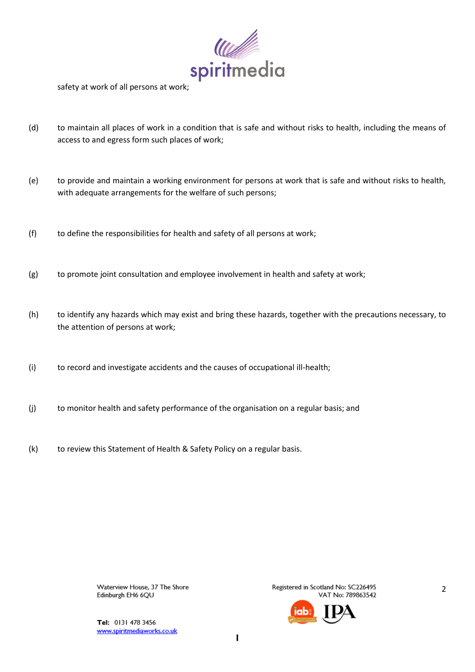

safety at work of all persons at work;

- (d) to maintain all places of work in a condition that is safe and without risks to health, including the means of access to and egress form such places of work;
- (e) to provide and maintain a working environment for persons at work that is safe and without risks to health, with adequate arrangements for the welfare of such persons;
- (f) to define the responsibilities for health and safety of all persons at work;
- (g) to promote joint consultation and employee involvement in health and safety at work;
- (h) to identify any hazards which may exist and bring these hazards, together with the precautions necessary, to the attention of persons at work;
- (i) to record and investigate accidents and the causes of occupational ill-health;
- (j) to monitor health and safety performance of the organisation on a regular basis; and
- (k) to review this Statement of Health & Safety Policy on a regular basis.

Waterview House, 37 The Shore Edinburgh EH6 6QU

Registered in Scotland No: SC226495 VAT No: 789863542



Tel: 0131 478 3456 www.spiritmediaworks.co.uk 2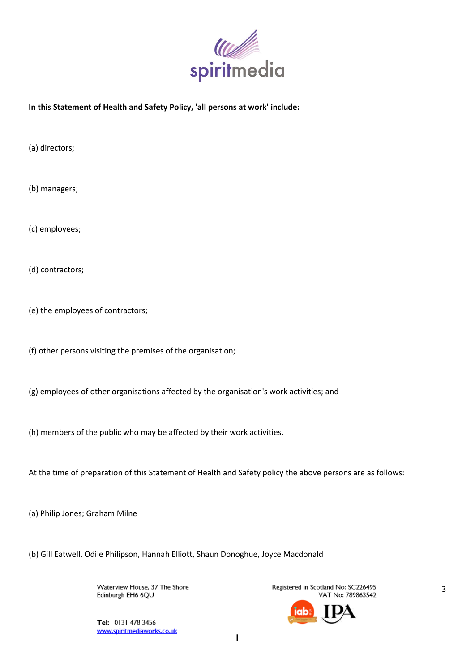

### **In this Statement of Health and Safety Policy, 'all persons at work' include:**

(a) directors;

(b) managers;

(c) employees;

(d) contractors;

(e) the employees of contractors;

- (f) other persons visiting the premises of the organisation;
- (g) employees of other organisations affected by the organisation's work activities; and
- (h) members of the public who may be affected by their work activities.
- At the time of preparation of this Statement of Health and Safety policy the above persons are as follows:

(a) Philip Jones; Graham Milne

(b) Gill Eatwell, Odile Philipson, Hannah Elliott, Shaun Donoghue, Joyce Macdonald

Waterview House, 37 The Shore Edinburgh EH6 6QU

Registered in Scotland No: SC226495 VAT No: 789863542

3

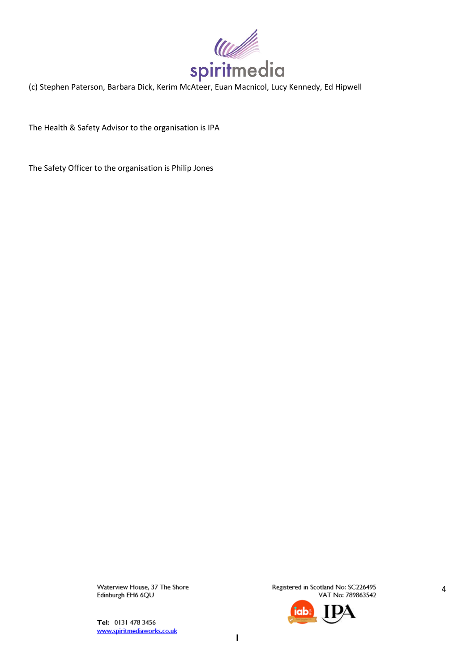

The Health & Safety Advisor to the organisation is IPA

The Safety Officer to the organisation is Philip Jones

Waterview House, 37 The Shore Edinburgh EH6 6QU

Tel: 0131 478 3456 www.spiritmediaworks.co.uk Registered in Scotland No: SC226495 VAT No: 789863542



 $\overline{\phantom{a}}$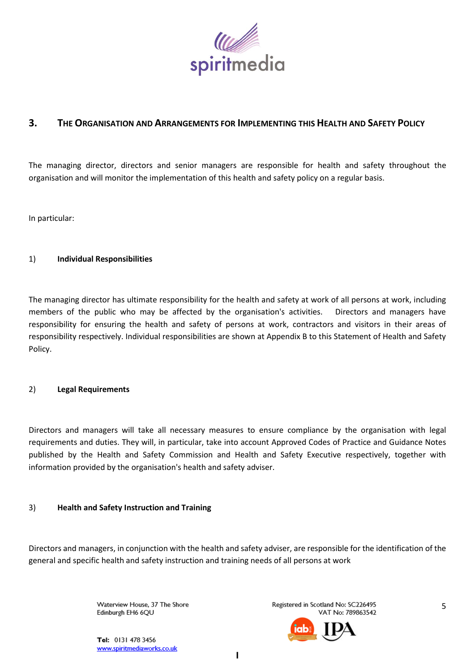

# **3. THE ORGANISATION AND ARRANGEMENTS FOR IMPLEMENTING THIS HEALTH AND SAFETY POLICY**

The managing director, directors and senior managers are responsible for health and safety throughout the organisation and will monitor the implementation of this health and safety policy on a regular basis.

In particular:

# 1) **Individual Responsibilities**

The managing director has ultimate responsibility for the health and safety at work of all persons at work, including members of the public who may be affected by the organisation's activities. Directors and managers have responsibility for ensuring the health and safety of persons at work, contractors and visitors in their areas of responsibility respectively. Individual responsibilities are shown at Appendix B to this Statement of Health and Safety Policy.

### 2) **Legal Requirements**

Directors and managers will take all necessary measures to ensure compliance by the organisation with legal requirements and duties. They will, in particular, take into account Approved Codes of Practice and Guidance Notes published by the Health and Safety Commission and Health and Safety Executive respectively, together with information provided by the organisation's health and safety adviser.

### 3) **Health and Safety Instruction and Training**

Directors and managers, in conjunction with the health and safety adviser, are responsible for the identification of the general and specific health and safety instruction and training needs of all persons at work

> Waterview House, 37 The Shore Edinburgh EH6 6QU

Registered in Scotland No: SC226495 VAT No: 789863542

5

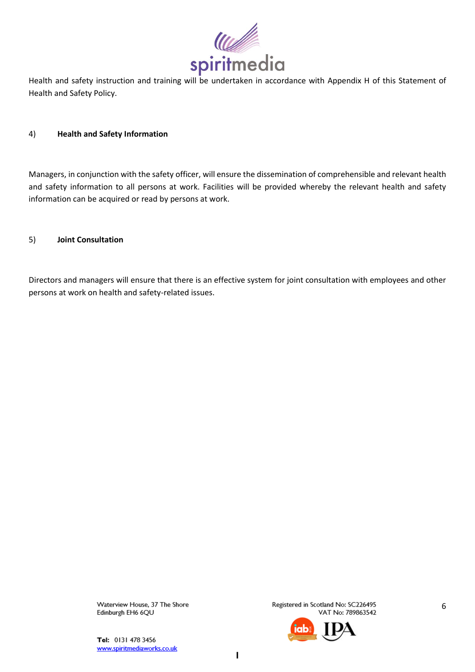

Health and safety instruction and training will be undertaken in accordance with Appendix H of this Statement of Health and Safety Policy.

### 4) **Health and Safety Information**

Managers, in conjunction with the safety officer, will ensure the dissemination of comprehensible and relevant health and safety information to all persons at work. Facilities will be provided whereby the relevant health and safety information can be acquired or read by persons at work.

### 5) **Joint Consultation**

Directors and managers will ensure that there is an effective system for joint consultation with employees and other persons at work on health and safety-related issues.

> Waterview House, 37 The Shore Edinburgh EH6 6QU

Registered in Scotland No: SC226495 VAT No: 789863542

6

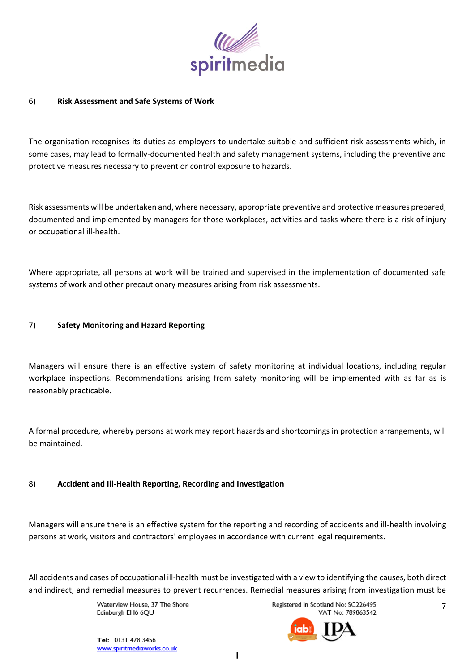

# 6) **Risk Assessment and Safe Systems of Work**

The organisation recognises its duties as employers to undertake suitable and sufficient risk assessments which, in some cases, may lead to formally-documented health and safety management systems, including the preventive and protective measures necessary to prevent or control exposure to hazards.

Risk assessments will be undertaken and, where necessary, appropriate preventive and protective measures prepared, documented and implemented by managers for those workplaces, activities and tasks where there is a risk of injury or occupational ill-health.

Where appropriate, all persons at work will be trained and supervised in the implementation of documented safe systems of work and other precautionary measures arising from risk assessments.

# 7) **Safety Monitoring and Hazard Reporting**

Managers will ensure there is an effective system of safety monitoring at individual locations, including regular workplace inspections. Recommendations arising from safety monitoring will be implemented with as far as is reasonably practicable.

A formal procedure, whereby persons at work may report hazards and shortcomings in protection arrangements, will be maintained.

### 8) **Accident and Ill-Health Reporting, Recording and Investigation**

Managers will ensure there is an effective system for the reporting and recording of accidents and ill-health involving persons at work, visitors and contractors' employees in accordance with current legal requirements.

All accidents and cases of occupational ill-health must be investigated with a view to identifying the causes, both direct and indirect, and remedial measures to prevent recurrences. Remedial measures arising from investigation must be

> Waterview House, 37 The Shore Edinburgh EH6 6QU

Registered in Scotland No: SC226495 VAT No: 789863542

7

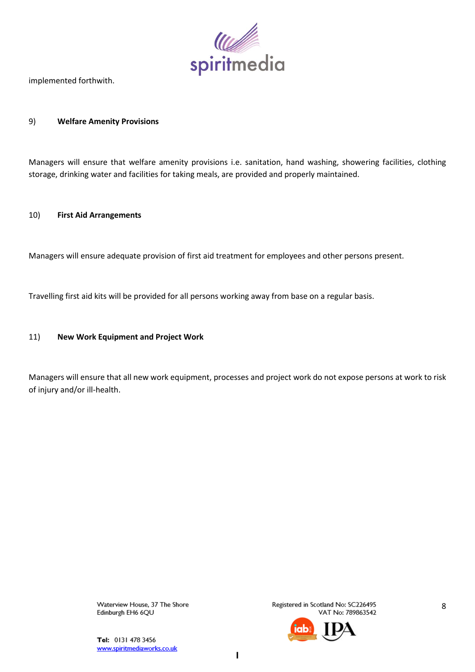

implemented forthwith.

### 9) **Welfare Amenity Provisions**

Managers will ensure that welfare amenity provisions i.e. sanitation, hand washing, showering facilities, clothing storage, drinking water and facilities for taking meals, are provided and properly maintained.

#### 10) **First Aid Arrangements**

Managers will ensure adequate provision of first aid treatment for employees and other persons present.

Travelling first aid kits will be provided for all persons working away from base on a regular basis.

# 11) **New Work Equipment and Project Work**

Managers will ensure that all new work equipment, processes and project work do not expose persons at work to risk of injury and/or ill-health.

> Waterview House, 37 The Shore Edinburgh EH6 6QU

Registered in Scotland No: SC226495 VAT No: 789863542

8

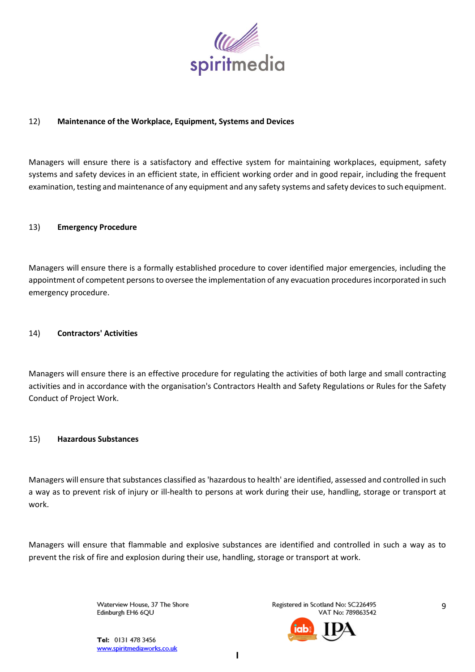

# 12) **Maintenance of the Workplace, Equipment, Systems and Devices**

Managers will ensure there is a satisfactory and effective system for maintaining workplaces, equipment, safety systems and safety devices in an efficient state, in efficient working order and in good repair, including the frequent examination, testing and maintenance of any equipment and any safety systems and safety devices to such equipment.

#### 13) **Emergency Procedure**

Managers will ensure there is a formally established procedure to cover identified major emergencies, including the appointment of competent persons to oversee the implementation of any evacuation procedures incorporated in such emergency procedure.

#### 14) **Contractors' Activities**

Managers will ensure there is an effective procedure for regulating the activities of both large and small contracting activities and in accordance with the organisation's Contractors Health and Safety Regulations or Rules for the Safety Conduct of Project Work.

#### 15) **Hazardous Substances**

Managers will ensure that substances classified as 'hazardous to health' are identified, assessed and controlled in such a way as to prevent risk of injury or ill-health to persons at work during their use, handling, storage or transport at work.

Managers will ensure that flammable and explosive substances are identified and controlled in such a way as to prevent the risk of fire and explosion during their use, handling, storage or transport at work.

> Waterview House, 37 The Shore Edinburgh EH6 6QU

Registered in Scotland No: SC226495 VAT No: 789863542



Tel: 0131 478 3456 www.spiritmediaworks.co.uk 9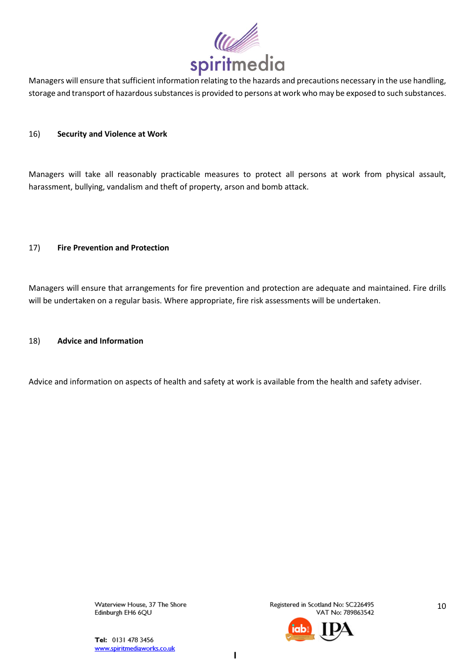

Managers will ensure that sufficient information relating to the hazards and precautions necessary in the use handling, storage and transport of hazardous substances is provided to persons at work who may be exposed to such substances.

#### 16) **Security and Violence at Work**

Managers will take all reasonably practicable measures to protect all persons at work from physical assault, harassment, bullying, vandalism and theft of property, arson and bomb attack.

#### 17) **Fire Prevention and Protection**

Managers will ensure that arrangements for fire prevention and protection are adequate and maintained. Fire drills will be undertaken on a regular basis. Where appropriate, fire risk assessments will be undertaken.

#### 18) **Advice and Information**

Advice and information on aspects of health and safety at work is available from the health and safety adviser.

Waterview House, 37 The Shore Edinburgh EH6 6QU

Registered in Scotland No: SC226495 VAT No: 789863542

10

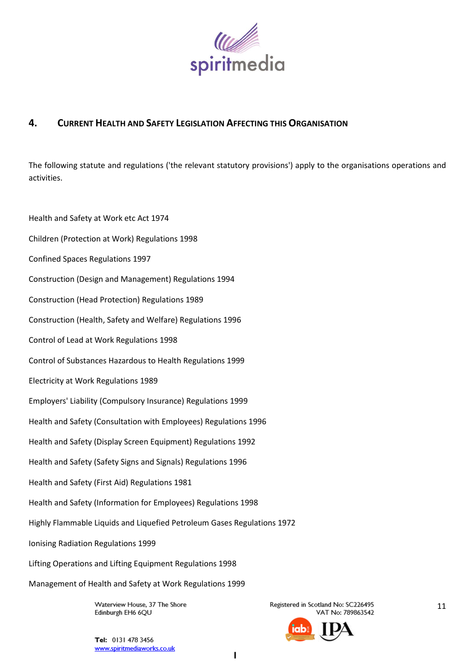

# **4. CURRENT HEALTH AND SAFETY LEGISLATION AFFECTING THIS ORGANISATION**

The following statute and regulations ('the relevant statutory provisions') apply to the organisations operations and activities.

Health and Safety at Work etc Act 1974 Children (Protection at Work) Regulations 1998 Confined Spaces Regulations 1997 Construction (Design and Management) Regulations 1994 Construction (Head Protection) Regulations 1989 Construction (Health, Safety and Welfare) Regulations 1996 Control of Lead at Work Regulations 1998 Control of Substances Hazardous to Health Regulations 1999 Electricity at Work Regulations 1989 Employers' Liability (Compulsory Insurance) Regulations 1999 Health and Safety (Consultation with Employees) Regulations 1996 Health and Safety (Display Screen Equipment) Regulations 1992 Health and Safety (Safety Signs and Signals) Regulations 1996 Health and Safety (First Aid) Regulations 1981 Health and Safety (Information for Employees) Regulations 1998 Highly Flammable Liquids and Liquefied Petroleum Gases Regulations 1972 Ionising Radiation Regulations 1999 Lifting Operations and Lifting Equipment Regulations 1998 Management of Health and Safety at Work Regulations 1999

> Waterview House, 37 The Shore Edinburgh EH6 6QU

Registered in Scotland No: SC226495 VAT No: 789863542

11

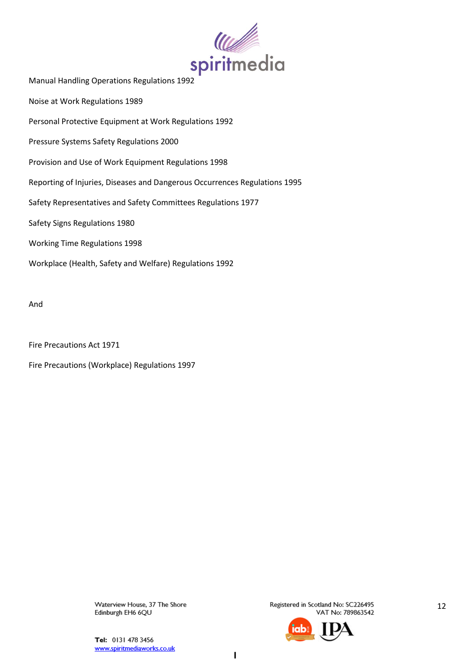

Noise at Work Regulations 1989

Personal Protective Equipment at Work Regulations 1992

Pressure Systems Safety Regulations 2000

Provision and Use of Work Equipment Regulations 1998

Reporting of Injuries, Diseases and Dangerous Occurrences Regulations 1995

Safety Representatives and Safety Committees Regulations 1977

Safety Signs Regulations 1980

Working Time Regulations 1998

Workplace (Health, Safety and Welfare) Regulations 1992

And

Fire Precautions Act 1971

Fire Precautions (Workplace) Regulations 1997

Waterview House, 37 The Shore Edinburgh EH6 6QU

Registered in Scotland No: SC226495 VAT No: 789863542

12

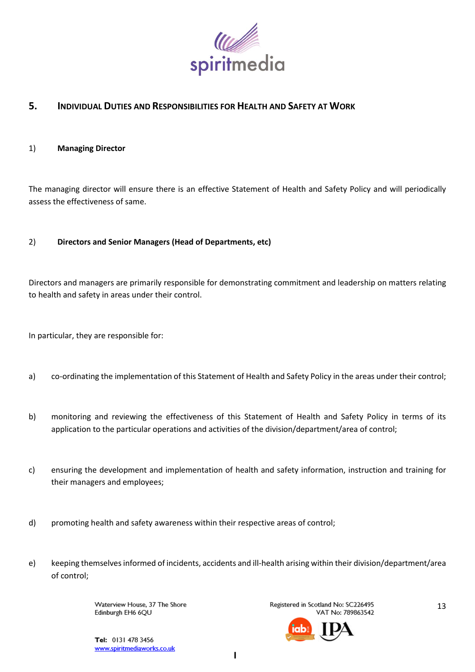

# **5. INDIVIDUAL DUTIES AND RESPONSIBILITIES FOR HEALTH AND SAFETY AT WORK**

### 1) **Managing Director**

The managing director will ensure there is an effective Statement of Health and Safety Policy and will periodically assess the effectiveness of same.

# 2) **Directors and Senior Managers (Head of Departments, etc)**

Directors and managers are primarily responsible for demonstrating commitment and leadership on matters relating to health and safety in areas under their control.

In particular, they are responsible for:

- a) co-ordinating the implementation of this Statement of Health and Safety Policy in the areas under their control;
- b) monitoring and reviewing the effectiveness of this Statement of Health and Safety Policy in terms of its application to the particular operations and activities of the division/department/area of control;
- c) ensuring the development and implementation of health and safety information, instruction and training for their managers and employees;
- d) promoting health and safety awareness within their respective areas of control;
- e) keeping themselves informed of incidents, accidents and ill-health arising within their division/department/area of control;

Waterview House, 37 The Shore Edinburgh EH6 6QU

Registered in Scotland No: SC226495 VAT No: 789863542



13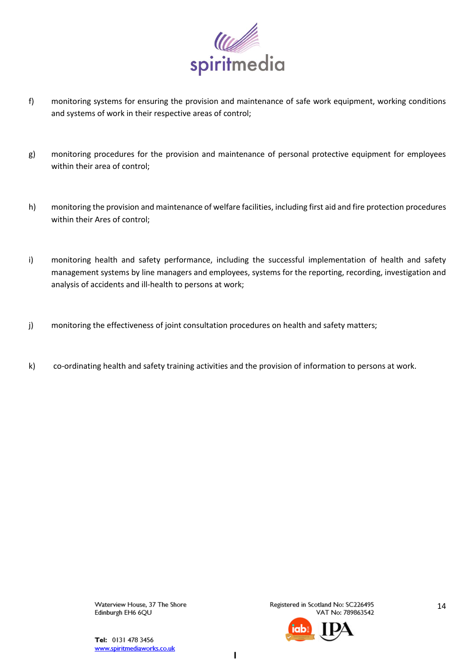

- f) monitoring systems for ensuring the provision and maintenance of safe work equipment, working conditions and systems of work in their respective areas of control;
- g) monitoring procedures for the provision and maintenance of personal protective equipment for employees within their area of control;
- h) monitoring the provision and maintenance of welfare facilities, including first aid and fire protection procedures within their Ares of control;
- i) monitoring health and safety performance, including the successful implementation of health and safety management systems by line managers and employees, systems for the reporting, recording, investigation and analysis of accidents and ill-health to persons at work;
- j) monitoring the effectiveness of joint consultation procedures on health and safety matters;
- k) co-ordinating health and safety training activities and the provision of information to persons at work.

Registered in Scotland No: SC226495 VAT No: 789863542



Tel: 0131 478 3456 www.spiritmediaworks.co.uk

 $\mathbf{I}$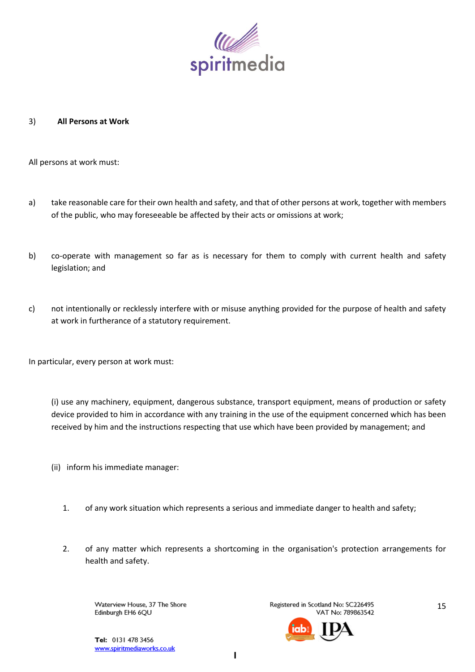

### 3) **All Persons at Work**

All persons at work must:

- a) take reasonable care for their own health and safety, and that of other persons at work, together with members of the public, who may foreseeable be affected by their acts or omissions at work;
- b) co-operate with management so far as is necessary for them to comply with current health and safety legislation; and
- c) not intentionally or recklessly interfere with or misuse anything provided for the purpose of health and safety at work in furtherance of a statutory requirement.

In particular, every person at work must:

(i) use any machinery, equipment, dangerous substance, transport equipment, means of production or safety device provided to him in accordance with any training in the use of the equipment concerned which has been received by him and the instructions respecting that use which have been provided by management; and

- (ii) inform his immediate manager:
	- 1. of any work situation which represents a serious and immediate danger to health and safety;
	- 2. of any matter which represents a shortcoming in the organisation's protection arrangements for health and safety.

Waterview House, 37 The Shore Edinburgh EH6 6QU

Registered in Scotland No: SC226495 VAT No: 789863542



15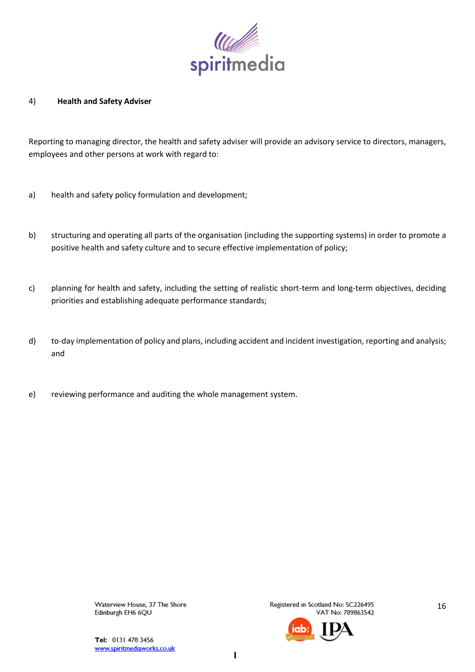

### 4) **Health and Safety Adviser**

Reporting to managing director, the health and safety adviser will provide an advisory service to directors, managers, employees and other persons at work with regard to:

- a) health and safety policy formulation and development;
- b) structuring and operating all parts of the organisation (including the supporting systems) in order to promote a positive health and safety culture and to secure effective implementation of policy;
- c) planning for health and safety, including the setting of realistic short-term and long-term objectives, deciding priorities and establishing adequate performance standards;
- d) to-day implementation of policy and plans, including accident and incident investigation, reporting and analysis; and
- e) reviewing performance and auditing the whole management system.

Waterview House, 37 The Shore Edinburgh EH6 6QU

Registered in Scotland No: SC226495 VAT No: 789863542

16

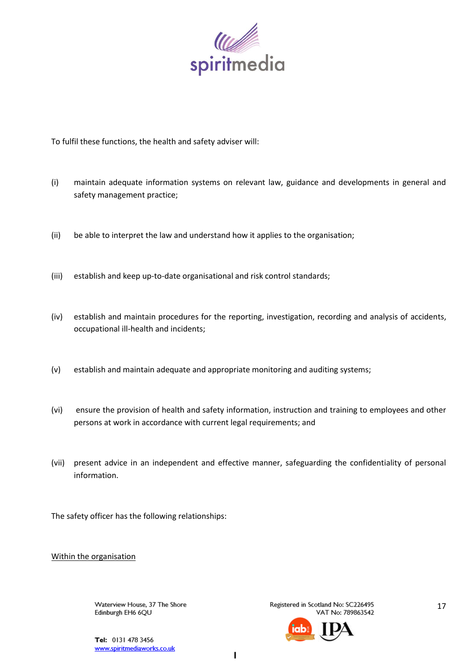

To fulfil these functions, the health and safety adviser will:

- (i) maintain adequate information systems on relevant law, guidance and developments in general and safety management practice;
- (ii) be able to interpret the law and understand how it applies to the organisation;
- (iii) establish and keep up-to-date organisational and risk control standards;
- (iv) establish and maintain procedures for the reporting, investigation, recording and analysis of accidents, occupational ill-health and incidents;
- (v) establish and maintain adequate and appropriate monitoring and auditing systems;
- (vi) ensure the provision of health and safety information, instruction and training to employees and other persons at work in accordance with current legal requirements; and
- (vii) present advice in an independent and effective manner, safeguarding the confidentiality of personal information.

The safety officer has the following relationships:

Within the organisation

Waterview House, 37 The Shore Edinburgh EH6 6QU

Registered in Scotland No: SC226495 VAT No: 789863542



17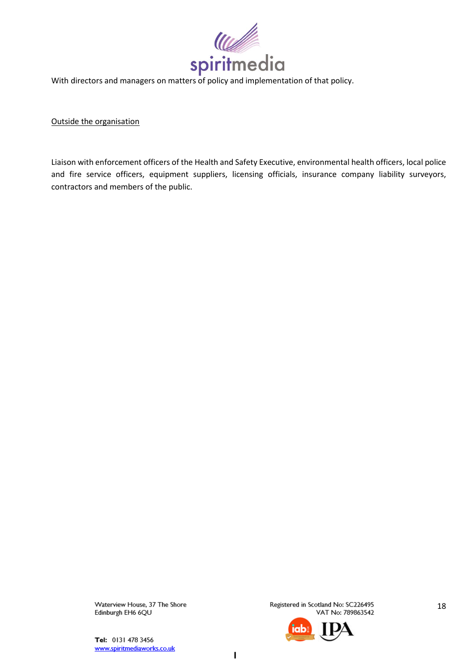

With directors and managers on matters of policy and implementation of that policy.

Outside the organisation

Liaison with enforcement officers of the Health and Safety Executive, environmental health officers, local police and fire service officers, equipment suppliers, licensing officials, insurance company liability surveyors, contractors and members of the public.

> Waterview House, 37 The Shore Edinburgh EH6 6QU

Registered in Scotland No: SC226495 VAT No: 789863542



18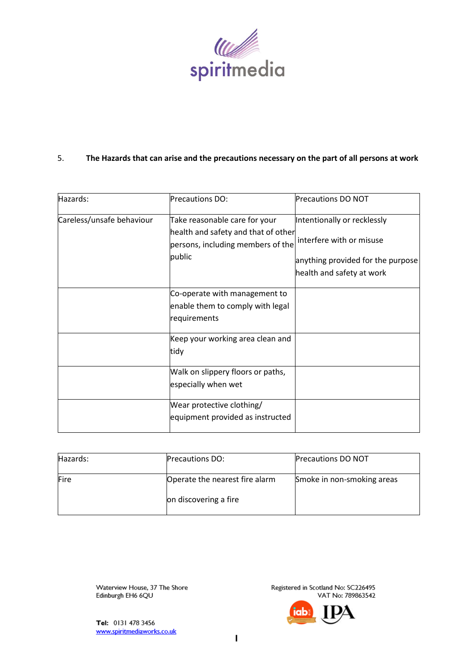

#### 5. The Hazards that can arise and the precautions necessary on the part of all persons at work

| Hazards:                  | Precautions DO:                                                                                                     | <b>Precautions DO NOT</b>                                                                                                 |
|---------------------------|---------------------------------------------------------------------------------------------------------------------|---------------------------------------------------------------------------------------------------------------------------|
| Careless/unsafe behaviour | Take reasonable care for your<br>health and safety and that of other<br>persons, including members of the<br>public | Intentionally or recklessly<br>interfere with or misuse<br>anything provided for the purpose<br>health and safety at work |
|                           | Co-operate with management to<br>enable them to comply with legal<br>requirements                                   |                                                                                                                           |
|                           | Keep your working area clean and<br>tidy                                                                            |                                                                                                                           |
|                           | Walk on slippery floors or paths,<br>especially when wet                                                            |                                                                                                                           |
|                           | Wear protective clothing/<br>equipment provided as instructed                                                       |                                                                                                                           |

| Hazards: | <b>Precautions DO:</b>         | <b>Precautions DO NOT</b>  |
|----------|--------------------------------|----------------------------|
| Fire     | Operate the nearest fire alarm | Smoke in non-smoking areas |
|          | on discovering a fire          |                            |

Waterview House, 37 The Shore Edinburgh EH6 6QU

Registered in Scotland No: SC226495 VAT No: 789863542

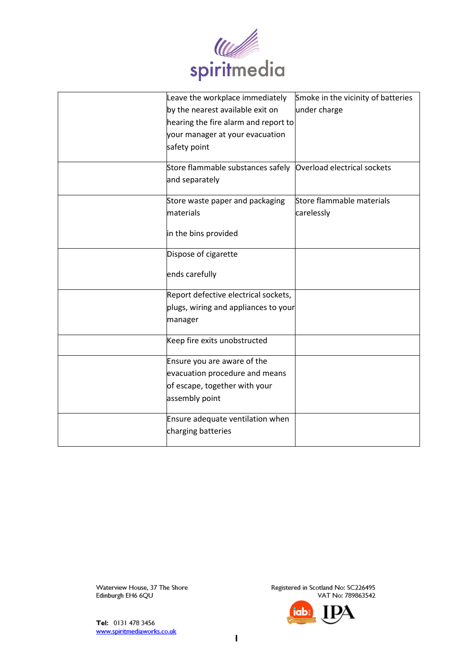

| Leave the workplace immediately      | Smoke in the vicinity of batteries |
|--------------------------------------|------------------------------------|
| by the nearest available exit on     | under charge                       |
| hearing the fire alarm and report to |                                    |
| your manager at your evacuation      |                                    |
| safety point                         |                                    |
| Store flammable substances safely    | Overload electrical sockets        |
| and separately                       |                                    |
| Store waste paper and packaging      | Store flammable materials          |
| materials                            | carelessly                         |
| in the bins provided                 |                                    |
| Dispose of cigarette                 |                                    |
| ends carefully                       |                                    |
| Report defective electrical sockets, |                                    |
| plugs, wiring and appliances to your |                                    |
| manager                              |                                    |
| Keep fire exits unobstructed         |                                    |
| Ensure you are aware of the          |                                    |
| evacuation procedure and means       |                                    |
| of escape, together with your        |                                    |
| assembly point                       |                                    |
| Ensure adequate ventilation when     |                                    |
| charging batteries                   |                                    |
|                                      |                                    |

Tel: 0131 478 3456 www.spiritmediaworks.co.uk

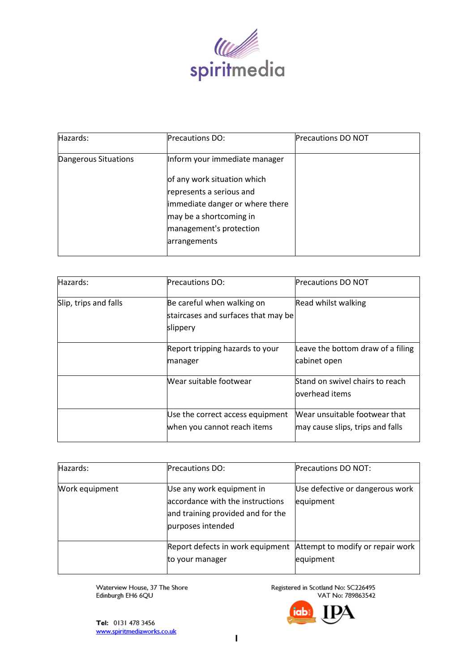

| Hazards:             | <b>Precautions DO:</b>                                                                                                                                           | <b>Precautions DO NOT</b> |
|----------------------|------------------------------------------------------------------------------------------------------------------------------------------------------------------|---------------------------|
| Dangerous Situations | Inform your immediate manager                                                                                                                                    |                           |
|                      | of any work situation which<br>represents a serious and<br>immediate danger or where there<br>may be a shortcoming in<br>management's protection<br>arrangements |                           |

| Hazards:              | <b>Precautions DO:</b>                                                        | <b>Precautions DO NOT</b>                                         |
|-----------------------|-------------------------------------------------------------------------------|-------------------------------------------------------------------|
| Slip, trips and falls | Be careful when walking on<br>staircases and surfaces that may be<br>slippery | Read whilst walking                                               |
|                       | Report tripping hazards to your<br>manager                                    | Leave the bottom draw of a filing<br>cabinet open                 |
|                       | Wear suitable footwear                                                        | Stand on swivel chairs to reach<br>loverhead items                |
|                       | Use the correct access equipment<br>when you cannot reach items               | Wear unsuitable footwear that<br>may cause slips, trips and falls |

| Hazards:       | <b>Precautions DO:</b>                                                                                                  | <b>Precautions DO NOT:</b>                    |
|----------------|-------------------------------------------------------------------------------------------------------------------------|-----------------------------------------------|
| Work equipment | Use any work equipment in<br>accordance with the instructions<br>and training provided and for the<br>purposes intended | Use defective or dangerous work<br>equipment  |
|                | Report defects in work equipment<br>to your manager                                                                     | Attempt to modify or repair work<br>equipment |

Registered in Scotland No: SC226495<br>VAT No: 789863542

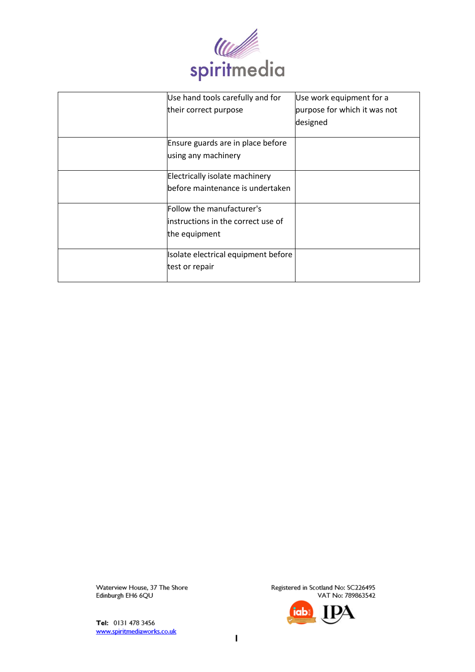

| Use hand tools carefully and for    | Use work equipment for a     |
|-------------------------------------|------------------------------|
| their correct purpose               | purpose for which it was not |
|                                     | designed                     |
|                                     |                              |
| Ensure guards are in place before   |                              |
| using any machinery                 |                              |
|                                     |                              |
| Electrically isolate machinery      |                              |
| lbefore maintenance is undertaken   |                              |
|                                     |                              |
| Follow the manufacturer's           |                              |
| linstructions in the correct use of |                              |
| the equipment                       |                              |
|                                     |                              |
| Isolate electrical equipment before |                              |
| test or repair                      |                              |
|                                     |                              |

Tel: 0131 478 3456 www.spiritmediaworks.co.uk

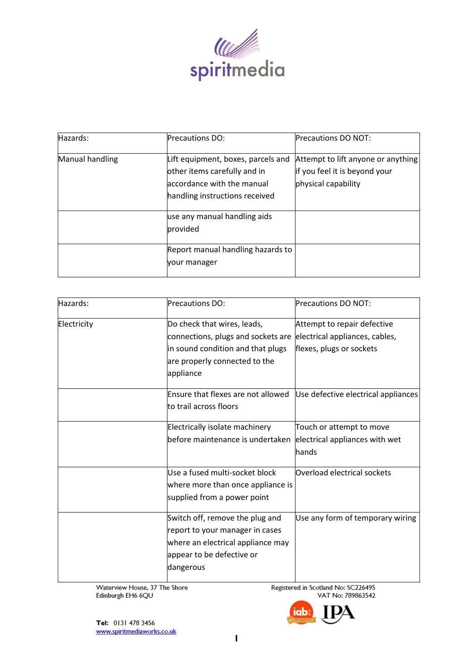

| Hazards:        | <b>Precautions DO:</b>                                                                                                             | <b>Precautions DO NOT:</b>                                                                 |
|-----------------|------------------------------------------------------------------------------------------------------------------------------------|--------------------------------------------------------------------------------------------|
| Manual handling | Lift equipment, boxes, parcels and<br>other items carefully and in<br>accordance with the manual<br>handling instructions received | Attempt to lift anyone or anything<br>if you feel it is beyond your<br>physical capability |
|                 | use any manual handling aids<br>provided                                                                                           |                                                                                            |
|                 | Report manual handling hazards to<br>your manager                                                                                  |                                                                                            |

| Hazards:    | Precautions DO:                                                                                                                                      | <b>Precautions DO NOT:</b>                                                                |
|-------------|------------------------------------------------------------------------------------------------------------------------------------------------------|-------------------------------------------------------------------------------------------|
| Electricity | Do check that wires, leads,<br>connections, plugs and sockets are<br>in sound condition and that plugs<br>are properly connected to the<br>appliance | Attempt to repair defective<br>electrical appliances, cables,<br>flexes, plugs or sockets |
|             | Ensure that flexes are not allowed<br>to trail across floors                                                                                         | Use defective electrical appliances                                                       |
|             | Electrically isolate machinery<br>before maintenance is undertaken                                                                                   | Touch or attempt to move<br>electrical appliances with wet<br>hands                       |
|             | Use a fused multi-socket block<br>where more than once appliance is<br>supplied from a power point                                                   | Overload electrical sockets                                                               |
|             | Switch off, remove the plug and<br>report to your manager in cases<br>where an electrical appliance may<br>appear to be defective or<br>dangerous    | Use any form of temporary wiring                                                          |

Registered in Scotland No: SC226495 VAT No: 789863542

a

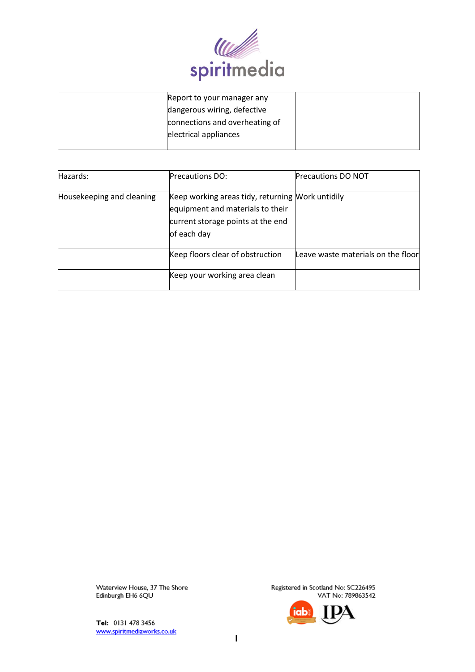

| Report to your manager any     |  |
|--------------------------------|--|
| dangerous wiring, defective    |  |
| connections and overheating of |  |
| electrical appliances          |  |
|                                |  |

| Hazards:                  | <b>Precautions DO:</b>                                                                                                                   | <b>Precautions DO NOT</b>          |
|---------------------------|------------------------------------------------------------------------------------------------------------------------------------------|------------------------------------|
| Housekeeping and cleaning | Keep working areas tidy, returning Mork untidily<br>equipment and materials to their<br>current storage points at the end<br>of each day |                                    |
|                           | Keep floors clear of obstruction                                                                                                         | Leave waste materials on the floor |
|                           | Keep your working area clean                                                                                                             |                                    |

Tel: 0131 478 3456 www.spiritmediaworks.co.uk

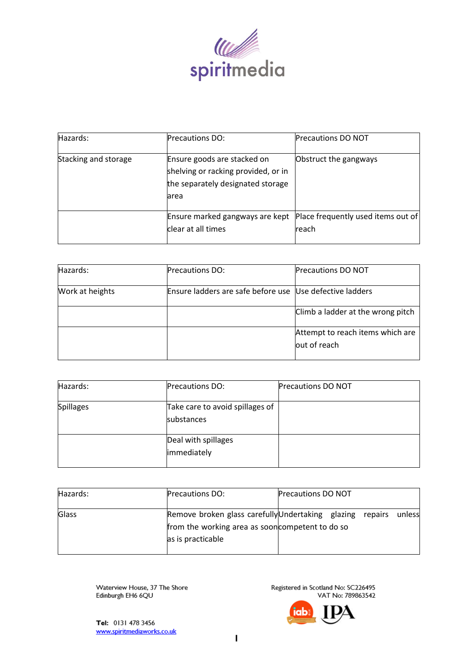

| Hazards:             | <b>Precautions DO:</b>                                                                                           | <b>Precautions DO NOT</b>                   |
|----------------------|------------------------------------------------------------------------------------------------------------------|---------------------------------------------|
| Stacking and storage | Ensure goods are stacked on<br>shelving or racking provided, or in<br>the separately designated storage<br>larea | Obstruct the gangways                       |
|                      | Ensure marked gangways are kept<br>clear at all times                                                            | Place frequently used items out of<br>reach |

| Hazards:        | <b>Precautions DO:</b>                                   | <b>Precautions DO NOT</b>                        |
|-----------------|----------------------------------------------------------|--------------------------------------------------|
| Work at heights | Ensure ladders are safe before use Use defective ladders |                                                  |
|                 |                                                          | Climb a ladder at the wrong pitch                |
|                 |                                                          | Attempt to reach items which are<br>out of reach |

| Hazards:         | <b>Precautions DO:</b>                               | <b>Precautions DO NOT</b> |
|------------------|------------------------------------------------------|---------------------------|
| <b>Spillages</b> | Take care to avoid spillages of<br><b>substances</b> |                           |
|                  | Deal with spillages<br>immediately                   |                           |

| Hazards:     | <b>Precautions DO:</b>                                                                                        | <b>Precautions DO NOT</b> |  |        |
|--------------|---------------------------------------------------------------------------------------------------------------|---------------------------|--|--------|
| <b>Glass</b> | Remove broken glass carefully Undertaking glazing repairs<br>from the working area as soon competent to do so |                           |  | unless |
|              | as is practicable                                                                                             |                           |  |        |

Registered in Scotland No: SC226495 VAT No: 789863542

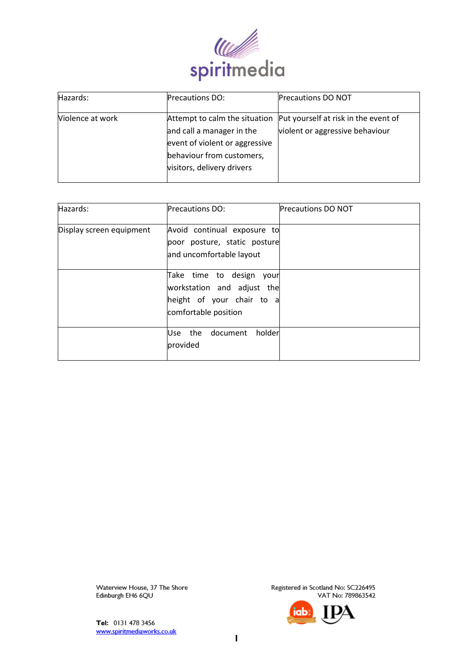

| Hazards:         | <b>Precautions DO:</b>                                                                                                                                  | <b>Precautions DO NOT</b>                                               |
|------------------|---------------------------------------------------------------------------------------------------------------------------------------------------------|-------------------------------------------------------------------------|
| Violence at work | Attempt to calm the situation<br>and call a manager in the<br>event of violent or aggressive<br>behaviour from customers,<br>visitors, delivery drivers | Put yourself at risk in the event of<br>violent or aggressive behaviour |

| Hazards:                 | <b>Precautions DO:</b>                                                                                         | <b>Precautions DO NOT</b> |
|--------------------------|----------------------------------------------------------------------------------------------------------------|---------------------------|
| Display screen equipment | Avoid continual exposure to<br>poor posture, static posture<br>and uncomfortable layout                        |                           |
|                          | Take time to design<br>your<br>workstation and adjust the<br>height of your chair to a<br>comfortable position |                           |
|                          | the<br>document<br>holderl<br>Use<br>provided                                                                  |                           |

Tel: 0131 478 3456 www.spiritmediaworks.co.uk

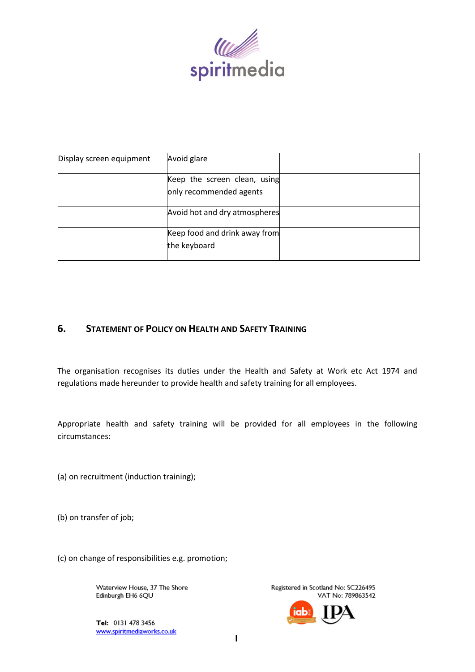

| Display screen equipment | Avoid glare                   |  |
|--------------------------|-------------------------------|--|
|                          | Keep the screen clean, using  |  |
|                          | only recommended agents       |  |
|                          | Avoid hot and dry atmospheres |  |
|                          | Keep food and drink away from |  |
|                          | the keyboard                  |  |

# **6. STATEMENT OF POLICY ON HEALTH AND SAFETY TRAINING**

The organisation recognises its duties under the Health and Safety at Work etc Act 1974 and regulations made hereunder to provide health and safety training for all employees.

Appropriate health and safety training will be provided for all employees in the following circumstances:

(a) on recruitment (induction training);

(b) on transfer of job;

(c) on change of responsibilities e.g. promotion;

Waterview House, 37 The Shore Edinburgh EH6 6QU

Tel: 0131 478 3456 www.spiritmediaworks.co.uk

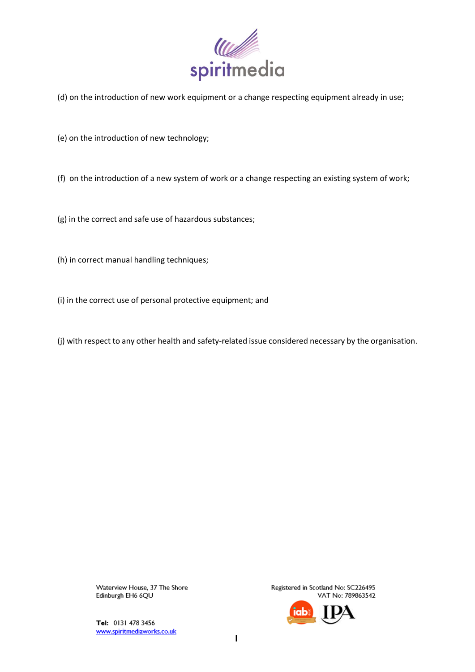

(d) on the introduction of new work equipment or a change respecting equipment already in use;

(e) on the introduction of new technology;

(f) on the introduction of a new system of work or a change respecting an existing system of work;

(g) in the correct and safe use of hazardous substances;

(h) in correct manual handling techniques;

(i) in the correct use of personal protective equipment; and

(j) with respect to any other health and safety-related issue considered necessary by the organisation.

Waterview House, 37 The Shore Edinburgh EH6 6QU

Tel: 0131 478 3456 www.spiritmediaworks.co.uk

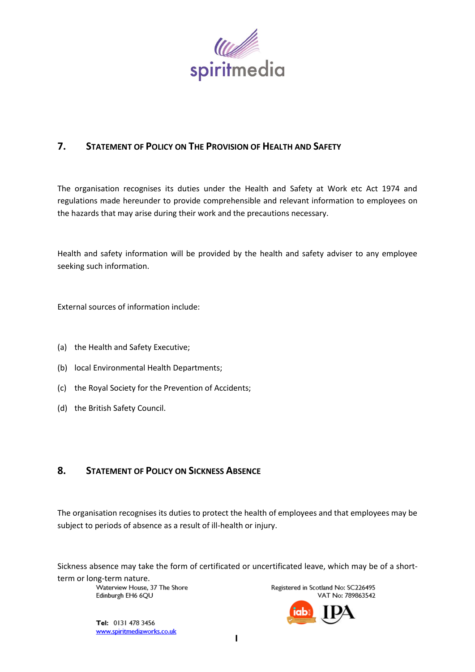

# **7. STATEMENT OF POLICY ON THE PROVISION OF HEALTH AND SAFETY**

The organisation recognises its duties under the Health and Safety at Work etc Act 1974 and regulations made hereunder to provide comprehensible and relevant information to employees on the hazards that may arise during their work and the precautions necessary.

Health and safety information will be provided by the health and safety adviser to any employee seeking such information.

External sources of information include:

- (a) the Health and Safety Executive;
- (b) local Environmental Health Departments;
- (c) the Royal Society for the Prevention of Accidents;
- (d) the British Safety Council.

# **8. STATEMENT OF POLICY ON SICKNESS ABSENCE**

The organisation recognises its duties to protect the health of employees and that employees may be subject to periods of absence as a result of ill-health or injury.

Sickness absence may take the form of certificated or uncertificated leave, which may be of a short-

term or long-term nature.<br>Waterview House. 37 The Shore Edinburgh EH6 6QU

Registered in Scotland No: SC226495 VAT No: 789863542

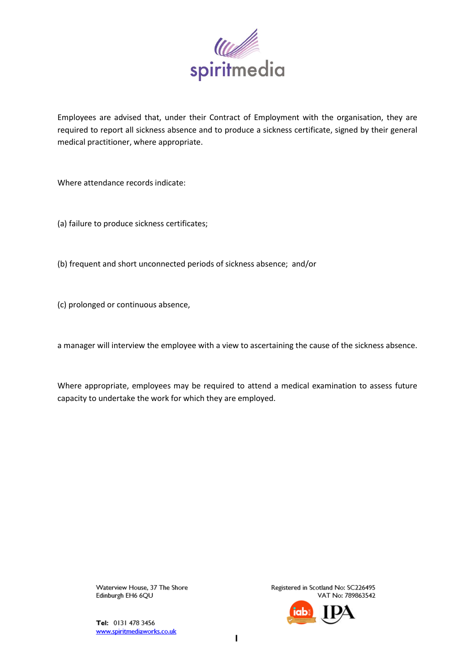

Employees are advised that, under their Contract of Employment with the organisation, they are required to report all sickness absence and to produce a sickness certificate, signed by their general medical practitioner, where appropriate.

Where attendance records indicate:

(a) failure to produce sickness certificates;

(b) frequent and short unconnected periods of sickness absence; and/or

(c) prolonged or continuous absence,

a manager will interview the employee with a view to ascertaining the cause of the sickness absence.

Where appropriate, employees may be required to attend a medical examination to assess future capacity to undertake the work for which they are employed.

> Waterview House, 37 The Shore Edinburgh EH6 6QU

Tel: 0131 478 3456 www.spiritmediaworks.co.uk

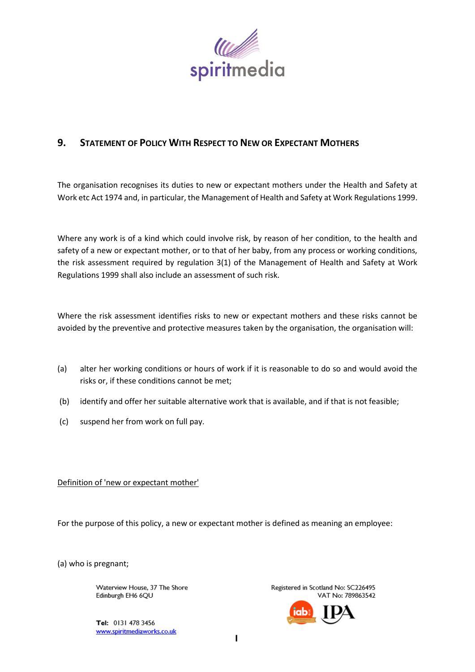

# **9. STATEMENT OF POLICY WITH RESPECT TO NEW OR EXPECTANT MOTHERS**

The organisation recognises its duties to new or expectant mothers under the Health and Safety at Work etc Act 1974 and, in particular, the Management of Health and Safety at Work Regulations 1999.

Where any work is of a kind which could involve risk, by reason of her condition, to the health and safety of a new or expectant mother, or to that of her baby, from any process or working conditions, the risk assessment required by regulation 3(1) of the Management of Health and Safety at Work Regulations 1999 shall also include an assessment of such risk.

Where the risk assessment identifies risks to new or expectant mothers and these risks cannot be avoided by the preventive and protective measures taken by the organisation, the organisation will:

- (a) alter her working conditions or hours of work if it is reasonable to do so and would avoid the risks or, if these conditions cannot be met;
- (b) identify and offer her suitable alternative work that is available, and if that is not feasible;
- (c) suspend her from work on full pay.

Definition of 'new or expectant mother'

For the purpose of this policy, a new or expectant mother is defined as meaning an employee:

(a) who is pregnant;

Waterview House, 37 The Shore Edinburgh EH6 6QU

Tel: 0131 478 3456 www.spiritmediaworks.co.uk

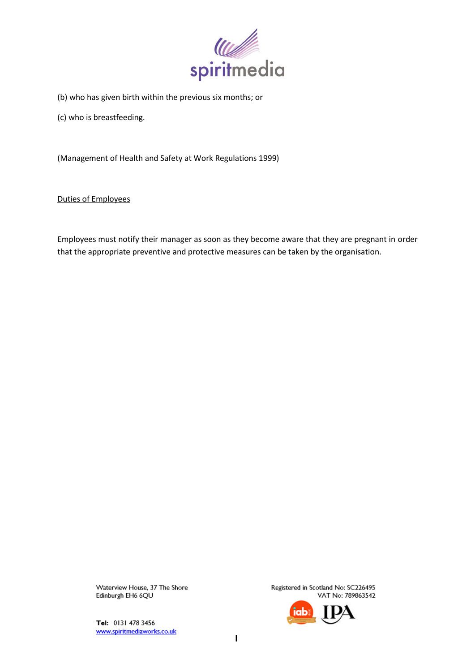

- (b) who has given birth within the previous six months; or
- (c) who is breastfeeding.

(Management of Health and Safety at Work Regulations 1999)

Duties of Employees

Employees must notify their manager as soon as they become aware that they are pregnant in order that the appropriate preventive and protective measures can be taken by the organisation.

> Waterview House, 37 The Shore Edinburgh EH6 6QU

Tel: 0131 478 3456 www.spiritmediaworks.co.uk

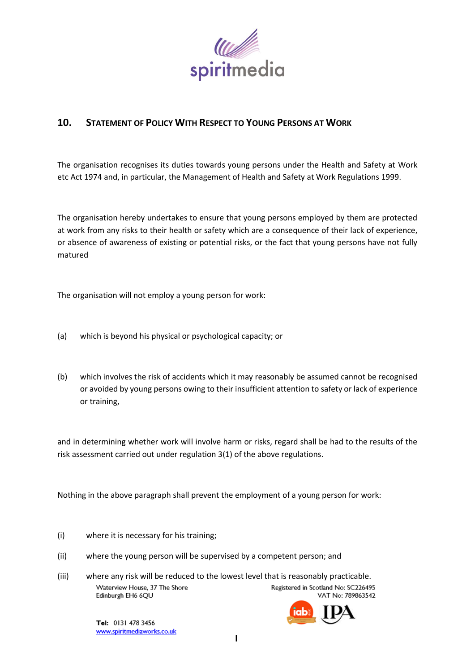

# **10. STATEMENT OF POLICY WITH RESPECT TO YOUNG PERSONS AT WORK**

The organisation recognises its duties towards young persons under the Health and Safety at Work etc Act 1974 and, in particular, the Management of Health and Safety at Work Regulations 1999.

The organisation hereby undertakes to ensure that young persons employed by them are protected at work from any risks to their health or safety which are a consequence of their lack of experience, or absence of awareness of existing or potential risks, or the fact that young persons have not fully matured

The organisation will not employ a young person for work:

- (a) which is beyond his physical or psychological capacity; or
- (b) which involves the risk of accidents which it may reasonably be assumed cannot be recognised or avoided by young persons owing to their insufficient attention to safety or lack of experience or training,

and in determining whether work will involve harm or risks, regard shall be had to the results of the risk assessment carried out under regulation 3(1) of the above regulations.

Nothing in the above paragraph shall prevent the employment of a young person for work:

- (i) where it is necessary for his training;
- (ii) where the young person will be supervised by a competent person; and
- (iii) where any risk will be reduced to the lowest level that is reasonably practicable.Waterview House, 37 The Shore Registered in Scotland No: SC226495 Edinburgh EH6 6QU VAT No: 789863542

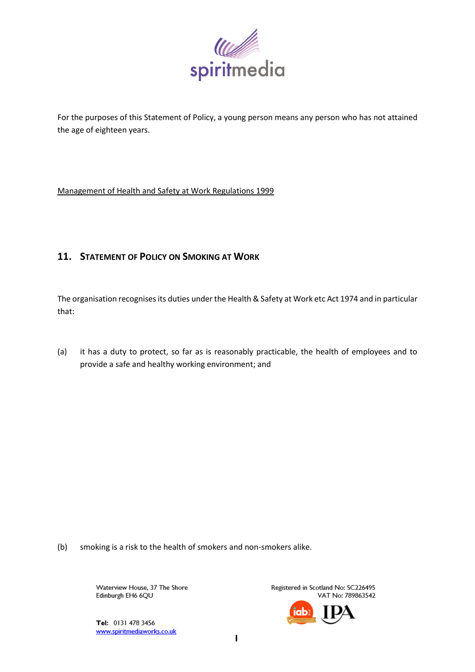

For the purposes of this Statement of Policy, a young person means any person who has not attained the age of eighteen years.

Management of Health and Safety at Work Regulations 1999

# **11. STATEMENT OF POLICY ON SMOKING AT WORK**

The organisation recognises its duties under the Health & Safety at Work etc Act 1974 and in particular that:

(a) it has a duty to protect, so far as is reasonably practicable, the health of employees and to provide a safe and healthy working environment; and

(b) smoking is a risk to the health of smokers and non-smokers alike.

Waterview House, 37 The Shore Edinburgh EH6 6QU

Registered in Scotland No: SC226495 VAT No: 789863542

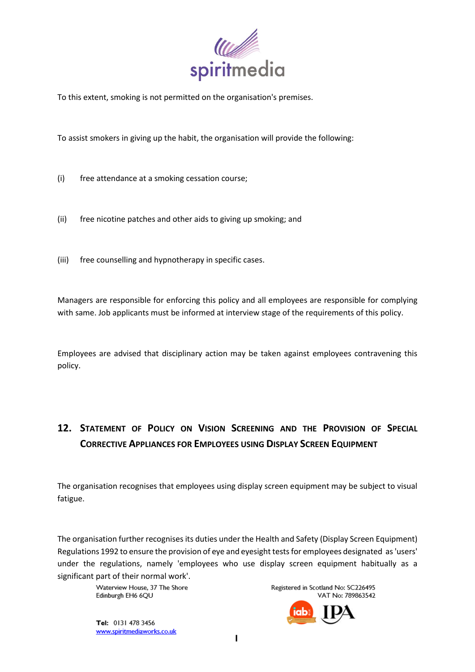

To this extent, smoking is not permitted on the organisation's premises.

To assist smokers in giving up the habit, the organisation will provide the following:

- (i) free attendance at a smoking cessation course;
- (ii) free nicotine patches and other aids to giving up smoking; and
- (iii) free counselling and hypnotherapy in specific cases.

Managers are responsible for enforcing this policy and all employees are responsible for complying with same. Job applicants must be informed at interview stage of the requirements of this policy.

Employees are advised that disciplinary action may be taken against employees contravening this policy.

# **12. STATEMENT OF POLICY ON VISION SCREENING AND THE PROVISION OF SPECIAL CORRECTIVE APPLIANCES FOR EMPLOYEES USING DISPLAY SCREEN EQUIPMENT**

The organisation recognises that employees using display screen equipment may be subject to visual fatigue.

The organisation further recognises its duties under the Health and Safety (Display Screen Equipment) Regulations 1992 to ensure the provision of eye and eyesight tests for employees designated as 'users' under the regulations, namely 'employees who use display screen equipment habitually as a significant part of their normal work'.

> Waterview House, 37 The Shore Edinburgh EH6 6QU

Registered in Scotland No: SC226495 VAT No: 789863542

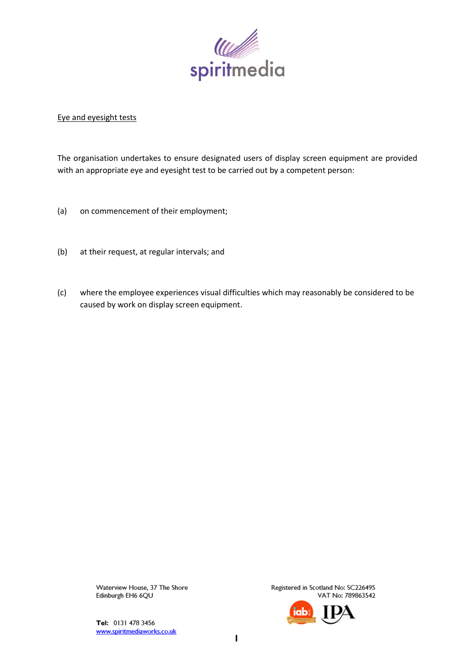

# Eye and eyesight tests

The organisation undertakes to ensure designated users of display screen equipment are provided with an appropriate eye and eyesight test to be carried out by a competent person:

- (a) on commencement of their employment;
- (b) at their request, at regular intervals; and
- (c) where the employee experiences visual difficulties which may reasonably be considered to be caused by work on display screen equipment.

Waterview House, 37 The Shore Edinburgh EH6 6QU

Tel: 0131 478 3456 www.spiritmediaworks.co.uk

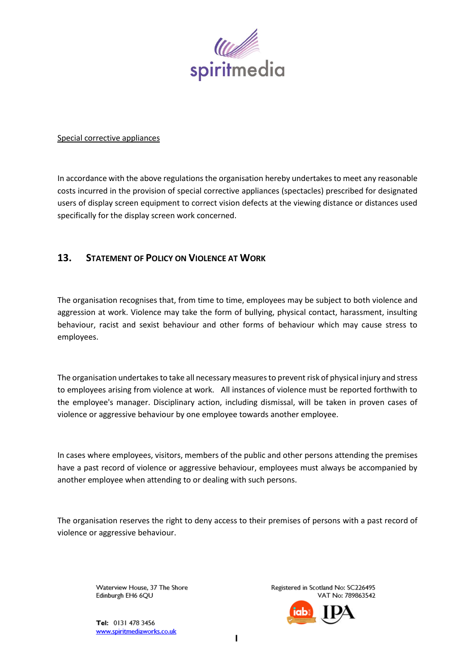

### Special corrective appliances

In accordance with the above regulations the organisation hereby undertakes to meet any reasonable costs incurred in the provision of special corrective appliances (spectacles) prescribed for designated users of display screen equipment to correct vision defects at the viewing distance or distances used specifically for the display screen work concerned.

# **13. STATEMENT OF POLICY ON VIOLENCE AT WORK**

The organisation recognises that, from time to time, employees may be subject to both violence and aggression at work. Violence may take the form of bullying, physical contact, harassment, insulting behaviour, racist and sexist behaviour and other forms of behaviour which may cause stress to employees.

The organisation undertakes to take all necessary measures to prevent risk of physical injury and stress to employees arising from violence at work. All instances of violence must be reported forthwith to the employee's manager. Disciplinary action, including dismissal, will be taken in proven cases of violence or aggressive behaviour by one employee towards another employee.

In cases where employees, visitors, members of the public and other persons attending the premises have a past record of violence or aggressive behaviour, employees must always be accompanied by another employee when attending to or dealing with such persons.

The organisation reserves the right to deny access to their premises of persons with a past record of violence or aggressive behaviour.

> Waterview House, 37 The Shore Edinburgh EH6 6QU

Tel: 0131 478 3456 www.spiritmediaworks.co.uk

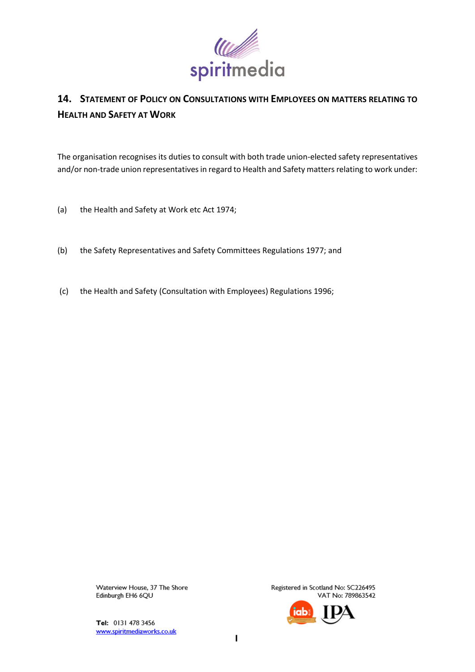

# **14. STATEMENT OF POLICY ON CONSULTATIONS WITH EMPLOYEES ON MATTERS RELATING TO HEALTH AND SAFETY AT WORK**

The organisation recognises its duties to consult with both trade union-elected safety representatives and/or non-trade union representatives in regard to Health and Safety matters relating to work under:

- (a) the Health and Safety at Work etc Act 1974;
- (b) the Safety Representatives and Safety Committees Regulations 1977; and
- (c) the Health and Safety (Consultation with Employees) Regulations 1996;

Waterview House, 37 The Shore Edinburgh EH6 6QU

Tel: 0131 478 3456 www.spiritmediaworks.co.uk

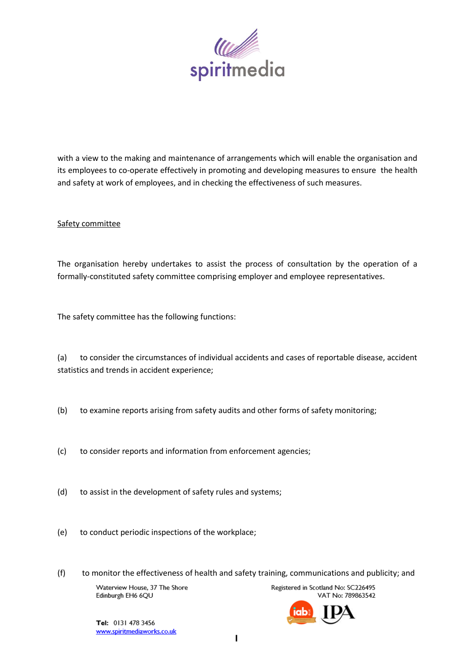

with a view to the making and maintenance of arrangements which will enable the organisation and its employees to co-operate effectively in promoting and developing measures to ensure the health and safety at work of employees, and in checking the effectiveness of such measures.

# Safety committee

The organisation hereby undertakes to assist the process of consultation by the operation of a formally-constituted safety committee comprising employer and employee representatives.

The safety committee has the following functions:

(a) to consider the circumstances of individual accidents and cases of reportable disease, accident statistics and trends in accident experience;

- (b) to examine reports arising from safety audits and other forms of safety monitoring;
- (c) to consider reports and information from enforcement agencies;
- (d) to assist in the development of safety rules and systems;
- (e) to conduct periodic inspections of the workplace;
- (f) to monitor the effectiveness of health and safety training, communications and publicity; and

Waterview House, 37 The Shore Edinburgh EH6 6QU

Registered in Scotland No: SC226495 VAT No: 789863542